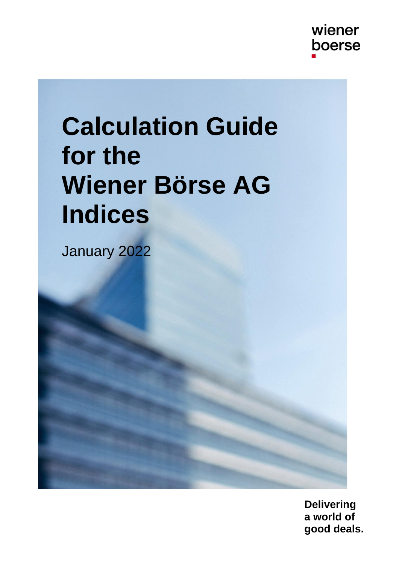# **Calculation Guide for the Wiener Börse AG Indices**

January 2022

**Delivering a world of good deals.**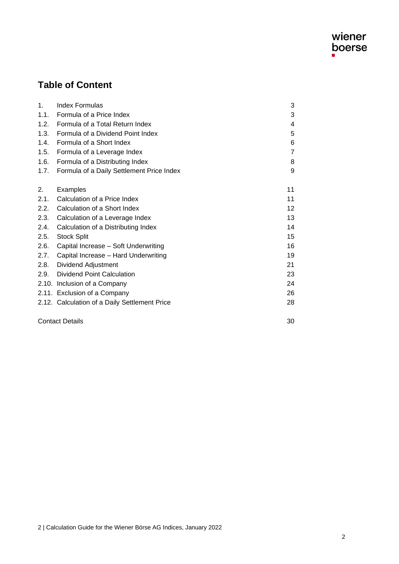

## **Table of Content**

| 1.   | <b>Index Formulas</b>                         | 3  |
|------|-----------------------------------------------|----|
| 1.1. | Formula of a Price Index                      | 3  |
| 1.2. | Formula of a Total Return Index               | 4  |
| 1.3. | Formula of a Dividend Point Index             | 5  |
| 1.4. | Formula of a Short Index                      | 6  |
| 1.5. | Formula of a Leverage Index                   | 7  |
| 1.6. | Formula of a Distributing Index               | 8  |
| 1.7. | Formula of a Daily Settlement Price Index     | 9  |
| 2.   | Examples                                      | 11 |
| 2.1. | Calculation of a Price Index                  | 11 |
| 2.2. | Calculation of a Short Index                  | 12 |
| 2.3. | Calculation of a Leverage Index               | 13 |
| 2.4. | Calculation of a Distributing Index           | 14 |
| 2.5. | <b>Stock Split</b>                            | 15 |
| 2.6. | Capital Increase - Soft Underwriting          | 16 |
| 2.7. | Capital Increase - Hard Underwriting          | 19 |
| 2.8. | Dividend Adjustment                           | 21 |
| 2.9. | Dividend Point Calculation                    | 23 |
|      | 2.10. Inclusion of a Company                  | 24 |
|      | 2.11. Exclusion of a Company                  | 26 |
|      | 2.12. Calculation of a Daily Settlement Price | 28 |
|      | <b>Contact Details</b>                        | 30 |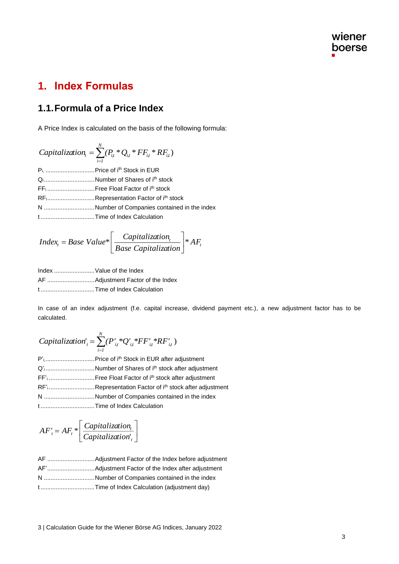# **1. Index Formulas**

#### **1.1.Formula of a Price Index**

A Price Index is calculated on the basis of the following formula:

 $\sum_{i=I}$ = *N*  $\mathit{Capitalization}_{_t} = \sum_{i=1}^{t}(P_{i,t}*Q_{i,t}*FF_{i,t}*RF_{i,t})$ Pi, ..................................Price of i<sup>th</sup> Stock in EUR Q<sub>i</sub>................................Number of Shares of i<sup>th</sup> stock FF<sup>i</sup> ............................Free Float Factor of ith stock RFi............................Representation Factor of ith stock N ..............................Number of Companies contained in the index t ................................Time of Index Calculation

$$
Index_{t} = Base\ Value^* \left[ \frac{Capitalization_{t}}{Base\ Capitalization} \right] * AF_{t}
$$

- Index ........................Value of the Index
- AF ............................Adjustment Factor of the Index

t ................................Time of Index Calculation

In case of an index adjustment (f.e. capital increase, dividend payment etc.), a new adjustment factor has to be calculated.

*Capitalization*'<sub>t</sub> = 
$$
\sum_{i=1}^{N} (P'_{it} * Q'_{it} * FF'_{it} * RF'_{it})
$$

| Q'Number of Shares of i <sup>th</sup> stock after adjustment                     |
|----------------------------------------------------------------------------------|
|                                                                                  |
| RF' <sub>i</sub> Representation Factor of i <sup>th</sup> stock after adjustment |
| N Number of Companies contained in the index                                     |
|                                                                                  |

$$
AF'_{t} = AF_{t} * \left[ \frac{Capitalization_{t}}{Capitalization_{t}} \right]
$$

| N Number of Companies contained in the index |
|----------------------------------------------|
| tTime of Index Calculation (adjustment day)  |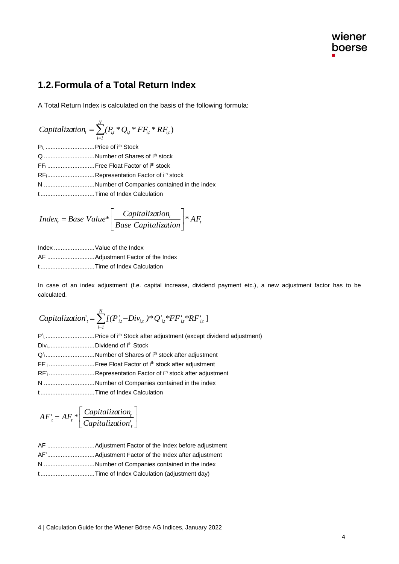#### **1.2.Formula of a Total Return Index**

A Total Return Index is calculated on the basis of the following formula:

*Capitalization*<sub>t</sub> = 
$$
\sum_{i=1}^{N} (P_{it} * Q_{it} * FF_{it} * RF_{it})
$$

\n
$$
P_{i_1} \dots P_{i_l} = 0 \quad \text{if } P_{i_l} \text{ Stock}
$$

\n
$$
Q_{i_1} \dots Q_{i_l} = 0 \quad \text{if } P_{i_l} \text{ Stock}
$$

\n
$$
FF_1 \dots F_1 = 0 \quad \text{if } P_{i_l} \text{ stock}
$$

\n
$$
RF_1 \dots P_{i_l} = 0 \quad \text{if } P_{i_l} \text{ stock}
$$

\n
$$
N \dots P_{i_l} = 0 \quad \text{if } P_{i_l} \text{ stock}
$$

\n
$$
N \dots P_{i_l} = 0 \quad \text{if } P_{i_l} \text{ stock}
$$

\n
$$
T_{i_l} = 0 \quad \text{if } P_{i_l} \text{ block}
$$

\n
$$
T_{i_l} = 0 \quad \text{if } P_{i_l} \text{ block}
$$

\n
$$
T_{i_l} = 0 \quad \text{if } P_{i_l} \text{ block}
$$

\n
$$
T_{i_l} = 0 \quad \text{if } P_{i_l} \text{ block}
$$

t ................................Time of Index Calculation

$$
Index_{t} = Base\ Value^* \left[ \frac{Capitalization_{t}}{Base\ Capitalization} \right] * AF_{t}
$$

Index ........................Value of the Index AF ............................Adjustment Factor of the Index t ................................Time of Index Calculation

In case of an index adjustment (f.e. capital increase, dividend payment etc.), a new adjustment factor has to be calculated.

*Capitalization*'<sub>t</sub> = 
$$
\sum_{i=1}^{N} [(P'_{i,t} - Div_{i,t})^* Q'_{i,t} * FF'_{i,t} * RF'_{i,t}]
$$

| DiviDividend of i <sup>th</sup> Stock                                            |
|----------------------------------------------------------------------------------|
| Q' <sub>i</sub> Number of Shares of i <sup>th</sup> stock after adjustment       |
| FF' <sub>i</sub> Free Float Factor of i <sup>th</sup> stock after adjustment     |
| RF' <sub>i</sub> Representation Factor of i <sup>th</sup> stock after adjustment |
| N Number of Companies contained in the index                                     |
|                                                                                  |

$$
AF'_{t} = AF_{t} * \left[ \frac{Capitalization_{t}}{Capitalization_{t}} \right]
$$

| N Number of Companies contained in the index |
|----------------------------------------------|
| tTime of Index Calculation (adjustment day)  |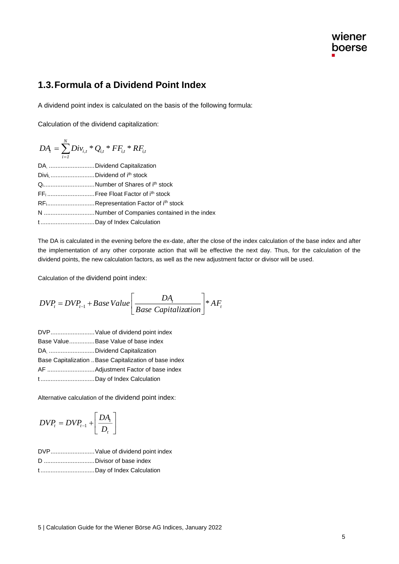#### **1.3.Formula of a Dividend Point Index**

A dividend point index is calculated on the basis of the following formula:

Calculation of the dividend capitalization:

$$
DA_{t} = \sum_{i=1}^{N} Div_{i,t} * Q_{i,t} * FF_{i,t} * RF_{i,t}
$$
  
DA, ................. Dividend Capitalization  
Divii, ................. Dividend of i<sup>th</sup> stock  
Q<sub>i</sub>.................Number of Shares of i<sup>th</sup> stock  
FF<sub>i</sub>.................Free Float Factor of i<sup>th</sup> stock  
RF<sub>i</sub>.................Representation Factor of i<sup>th</sup> stock

N ..............................Number of Companies contained in the index

t ................................Day of Index Calculation

The DA is calculated in the evening before the ex-date, after the close of the index calculation of the base index and after the implementation of any other corporate action that will be effective the next day. Thus, for the calculation of the dividend points, the new calculation factors, as well as the new adjustment factor or divisor will be used.

Calculation of the dividend point index:

$$
DVP_t = DVP_{t-1} + Base Value \bigg[ \frac{DA_t}{Base Capitalization} \bigg] * AF_t
$$

DVP..........................Value of dividend point index Base Value...............Base Value of base index DA, ...........................Dividend Capitalization Base Capitalization ..Base Capitalization of base index AF ............................Adjustment Factor of base index t ................................Day of Index Calculation

Alternative calculation of the dividend point index:

$$
DVP_t = DVP_{t-1} + \left[\frac{DA_t}{D_t}\right]
$$

| DVPValue of dividend point index |  |  |
|----------------------------------|--|--|
|                                  |  |  |

D ..............................Divisor of base index

t ................................Day of Index Calculation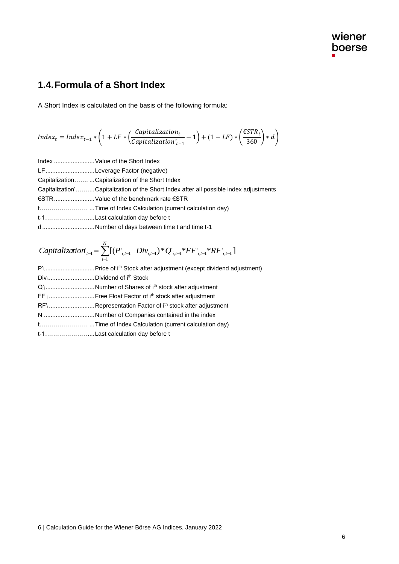## **1.4.Formula of a Short Index**

A Short Index is calculated on the basis of the following formula:

$$
Index_t = Index_{t-1} * \left(1 + LF * \left(\frac{Capitalization_t}{Capitalization_{t-1}'} - 1\right) + (1 - LF) * \left(\frac{\epsilon STR_t}{360}\right) * d\right)
$$

Index ........................Value of the Short Index

| LFLeverage Factor (negative) |  |  |
|------------------------------|--|--|
|------------------------------|--|--|

Capitalization……. ...Capitalization of the Short Index

| Capitalization'Capitalization of the Short Index after all possible index adjustments |  |  |  |  |  |
|---------------------------------------------------------------------------------------|--|--|--|--|--|
|---------------------------------------------------------------------------------------|--|--|--|--|--|

- €STR........................Value of the benchmark rate €STR
- t…………………… ...Time of Index Calculation (current calculation day)
- t-1…………………....Last calculation day before t
- d ...............................Number of days between time t and time t-1

*Capitalization*<sub>t-1</sub> = 
$$
\sum_{i=1}^{N} [(P_{i,t-1} - Div_{i,t-1})^* Q_{i,t-1}^* * FF_{i,t-1}^* * RF_{i,t-1}]
$$

\nP'<sub>i</sub>........  
\n $P'$ ...  
\n $P'$ !...  
\n $P'$ !...  
\n $P'$ !...  
\n $P'$ !...  
\n $P'$ !...  
\n $P'$ !...  
\n $P'$ !...  
\n $P'$ !...  
\n $P'$ !...  
\n $P'$ !...  
\n $P'$ !...  
\n $P'$ !...  
\n $P'$ !...  
\n $P'$ !...  
\n $P'$ !...  
\n $P'$ !...  
\n $P'$ !...  
\n $P'$ !...  
\n $P'$ !...  
\n $P'$ !...  
\n $P'$ !...  
\n $P'$ !...  
\n $P'$ !...  
\n $P'$ !...  
\n $P'$ !...  
\n $P'$ !...  
\n $P'$ !...  
\n $P'$ !...  
\n $P'$ !...  
\n $P'$ !...  
\n $P'$ !...  
\n $P'$ !...  
\n $P'$ !...  
\n $P'$ !...  
\n $P'$ !...  
\n $P'$ !...  
\n $P'$ !...  
\n $P'$ !...  
\n $P'$ !...  
\n $P'$ !...  
\n $P'$ !...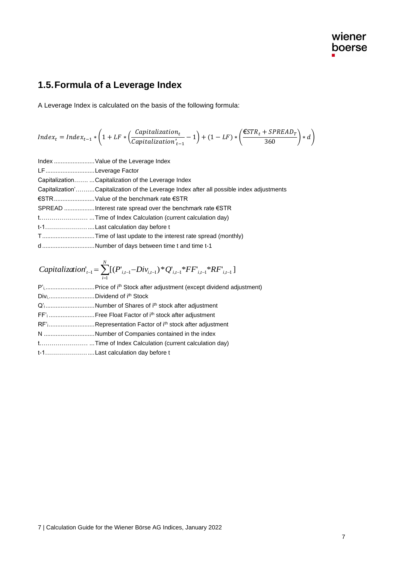# **1.5.Formula of a Leverage Index**

A Leverage Index is calculated on the basis of the following formula:

$$
Index_t = Index_{t-1} * \left(1 + LF * \left(\frac{Capitalization_t}{Capitalization_{t-1}} - 1\right) + (1 - LF) * \left(\frac{\epsilon STR_t + SPREAD_T}{360}\right) * d\right)
$$

|                   | Index  Value of the Leverage Index                                                       |
|-------------------|------------------------------------------------------------------------------------------|
| LFLeverage Factor |                                                                                          |
|                   | CapitalizationCapitalization of the Leverage Index                                       |
|                   | Capitalization'Capitalization of the Leverage Index after all possible index adjustments |
|                   | €STRValue of the benchmark rate €STR                                                     |
|                   |                                                                                          |
|                   |                                                                                          |
|                   |                                                                                          |
|                   |                                                                                          |
|                   | dNumber of days between time t and time t-1                                              |

\n*Capitalization*<sub>t-1</sub> = \n 
$$
\sum_{i=1}^{N} \left[ (P^*_{i,t-1} - \text{Div}_{i,t-1})^* Q^*_{i,t-1} * FF^*_{i,t-1} * RF^*_{i,t-1} \right]
$$
\n

\n\n $P^*$ <sub>t</sub> \n  $\sum_{i=1}^{N} P^*_{i,t-1} \cdot \text{Price of } i^{th}$ \n Stock after adjustment (except dividend adjustment)\n

\n\n $Q^*$ <sub>t</sub> \n  $\sum_{i=1}^{N} P^*_{i,t-1} \cdot \text{Div}_i$ \n

\n\n $Q^*$ <sub>t</sub> \n  $\sum_{i=1}^{N} P^*_{i,t-1} \cdot \text{Div}_i$ \n

| RF' <sub>i</sub> Representation Factor of i <sup>th</sup> stock after adjustment |
|----------------------------------------------------------------------------------|
| N Number of Companies contained in the index                                     |
|                                                                                  |
|                                                                                  |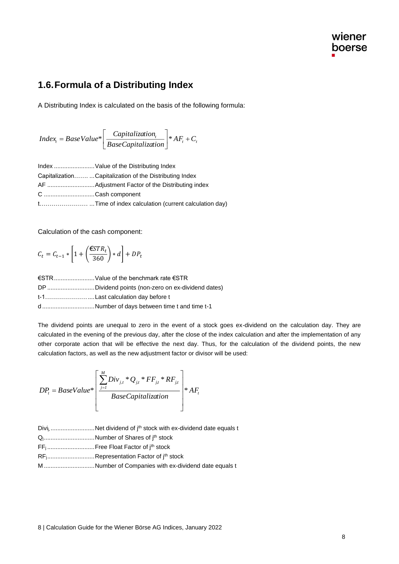#### **1.6.Formula of a Distributing Index**

A Distributing Index is calculated on the basis of the following formula:

$$
Index_{t} = BaseValue* \left[ \frac{Capitalization_{t}}{BaseCapitalization} \right] * AF_{t} + C_{t}
$$

Index ........................Value of the Distributing Index Capitalization……. ...Capitalization of the Distributing Index AF ............................Adjustment Factor of the Distributing index C ..............................Cash component t…………………… ...Time of index calculation (current calculation day)

Calculation of the cash component:

$$
C_t = C_{t-1} * \left[ 1 + \left( \frac{\epsilon STR_t}{360} \right) * d \right] + DP_t
$$

| €STRValue of the benchmark rate €STR               |
|----------------------------------------------------|
| DP Dividend points (non-zero on ex-dividend dates) |
|                                                    |
| dNumber of days between time t and time t-1        |

The dividend points are unequal to zero in the event of a stock goes ex-dividend on the calculation day. They are calculated in the evening of the previous day, after the close of the index calculation and after the implementation of any other corporate action that will be effective the next day. Thus, for the calculation of the dividend points, the new calculation factors, as well as the new adjustment factor or divisor will be used:

$$
DP_{t} = BaseValue^* \left[ \frac{\sum_{j=1}^{M} Div_{j,t} * Q_{j,t} * FF_{j,t} * RF_{j,t}}{BaseCapitalization} \right] * AF_{t}
$$

- Divi<sub>j</sub>, ...........................Net dividend of j<sup>th</sup> stock with ex-dividend date equals t
- Q<sub>i</sub>.................................Number of Shares of j<sup>th</sup> stock
- FF<sub>i</sub>...............................Free Float Factor of j<sup>th</sup> stock
- RF<sub>j</sub>.................................Representation Factor of j<sup>th</sup> stock
- M ..............................Number of Companies with ex-dividend date equals t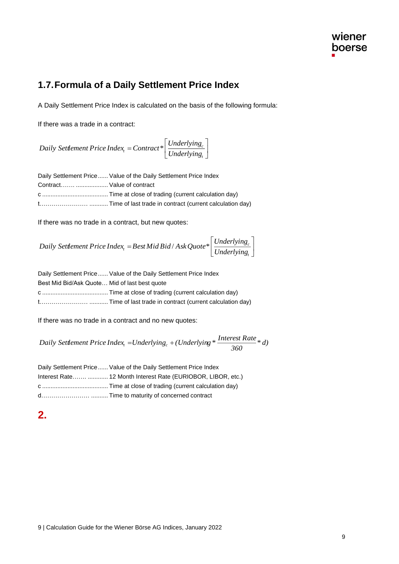#### **1.7.Formula of a Daily Settlement Price Index**

A Daily Settlement Price Index is calculated on the basis of the following formula:

If there was a trade in a contract:

I J 1  $\mathbf{r}$ L  $=$  *Contract*  $*\left[$  *Underlying*<sub>*c</sub></sub></sub>*  $c_t =$  *Contract*<sup>\*</sup>  $\frac{1}{\text{Underlying}}$ *Underlying Daily Settlement Price Index Contract\**

|                             | Daily Settlement Price Value of the Daily Settlement Price Index |
|-----------------------------|------------------------------------------------------------------|
| Contract  Value of contract |                                                                  |
|                             |                                                                  |
|                             |                                                                  |

If there was no trade in a contract, but new quotes:

 $\overline{\phantom{a}}$  $\overline{\phantom{a}}$  $\overline{\phantom{a}}$  $\mathsf{I}$ L  $=$  Best Mid Bid / Ask Quote  $*$ *t*  $\mathcal{F}_t = BestMidBid / AskQuote* \left| \frac{Unuentlying_t}{Underlying_t} \right|$ *Underlying Daily Settlement Price Index Best Mid Bid* / *AskQuote\**

|                                               | Daily Settlement Price Value of the Daily Settlement Price Index |  |  |  |  |
|-----------------------------------------------|------------------------------------------------------------------|--|--|--|--|
| Best Mid Bid/Ask Quote Mid of last best quote |                                                                  |  |  |  |  |
|                                               |                                                                  |  |  |  |  |
|                                               |                                                                  |  |  |  |  |

If there was no trade in a contract and no new quotes:

*Daily Settlement Price Index*<sub>t</sub> = Underlying<sub>c</sub> + (Underlying \*  $\frac{Interest Rate}{360} * d$ )

| Daily Settlement Price  Value of the Daily Settlement Price Index |                                                               |  |  |  |  |
|-------------------------------------------------------------------|---------------------------------------------------------------|--|--|--|--|
|                                                                   | Interest Rate  12 Month Interest Rate (EURIOBOR, LIBOR, etc.) |  |  |  |  |
|                                                                   |                                                               |  |  |  |  |
|                                                                   |                                                               |  |  |  |  |

**2.**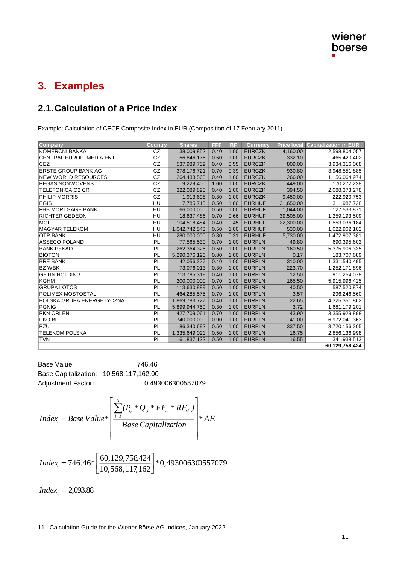# **3. Examples**

#### **2.1.Calculation of a Price Index**

Example: Calculation of CECE Composite Index in EUR (Composition of 17 February 2011)

| <b>Company</b>             | <b>Country</b> | <b>Shares</b> | <b>FFF</b> | <b>RF</b> | <b>Currency</b> |           | <b>Price local Capitalization in EUR</b> |
|----------------------------|----------------|---------------|------------|-----------|-----------------|-----------|------------------------------------------|
| KOMERCNI BANKA             | CZ             | 38,009,852    | 0.40       | 1.00      | <b>EURCZK</b>   | 4,160.00  | 2,598,804,057                            |
| CENTRAL EUROP, MEDIA ENT.  | CZ             | 56,846,176    | 0.60       | 1.00      | <b>EURCZK</b>   | 332.10    | 465,420,402                              |
| <b>CEZ</b>                 | CZ             | 537,989,759   | 0.40       | 0.55      | <b>EURCZK</b>   | 809.00    | 3,934,316,068                            |
| <b>ERSTE GROUP BANK AG</b> | CZ             | 378,176,721   | 0.70       | 0.39      | <b>EURCZK</b>   | 930.80    | 3,948,551,885                            |
| <b>NEW WORLD RESOURCES</b> | CZ             | 264,433,565   | 0.40       | 1.00      | <b>EURCZK</b>   | 266.00    | 1,156,064,974                            |
| <b>PEGAS NONWOVENS</b>     | CZ             | 9,229,400     | 1.00       | 1.00      | <b>EURCZK</b>   | 449.00    | 170,272,238                              |
| <b>TELEFONICA O2 CR</b>    | CZ             | 322,089,890   | 0.40       | 1.00      | <b>EURCZK</b>   | 394.50    | 2,088,373,278                            |
| PHILIP MORRIS              | CZ             | 1,913,698     | 0.30       | 1.00      | <b>EURCZK</b>   | 9,450.00  | 222,920,753                              |
| <b>EGIS</b>                | HU             | 7,785,715     | 0.50       | 1.00      | <b>EURHUF</b>   | 21,650.00 | 311,987,728                              |
| <b>FHB MORTGAGE BANK</b>   | HU             | 66,000,000    | 0.50       | 1.00      | <b>EURHUF</b>   | 1,044.00  | 127,533,871                              |
| <b>RICHTER GEDEON</b>      | HU             | 18,637,486    | 0.70       | 0.66      | <b>EURHUF</b>   | 39,505.00 | 1,259,193,509                            |
| <b>MOL</b>                 | HU             | 104,518,484   | 0.40       | 0.45      | <b>EURHUF</b>   | 22,300.00 | 1,553,036,184                            |
| <b>MAGYAR TELEKOM</b>      | HU             | 1,042,742,543 | 0.50       | 1.00      | <b>EURHUF</b>   | 530.00    | 1,022,902,102                            |
| <b>OTP BANK</b>            | HU             | 280,000,000   | 0.80       | 0.31      | <b>EURHUF</b>   | 5,730.00  | 1,472,907,381                            |
| <b>ASSECO POLAND</b>       | PL             | 77,565,530    | 0.70       | 1.00      | <b>EURPLN</b>   | 49.80     | 690,395,602                              |
| <b>BANK PEKAO</b>          | PL             | 262,364,326   | 0.50       | 1.00      | <b>EURPLN</b>   | 160.50    | 5,375,906,335                            |
| <b>BIOTON</b>              | PL             | 5,290,376,196 | 0.80       | 1.00      | <b>EURPLN</b>   | 0.17      | 183,707,689                              |
| <b>BRE BANK</b>            | PL             | 42,056,277    | 0.40       | 1.00      | <b>EURPLN</b>   | 310.00    | 1,331,540,495                            |
| <b>BZ WBK</b>              | PL             | 73,076,013    | 0.30       | 1.00      | <b>EURPLN</b>   | 223.70    | 1,252,171,896                            |
| <b>GETIN HOLDING</b>       | PL             | 713,785,319   | 0.40       | 1.00      | <b>EURPLN</b>   | 12.50     | 911,254,078                              |
| <b>KGHM</b>                | PL             | 200,000,000   | 0.70       | 1.00      | <b>EURPLN</b>   | 165.50    | 5,915,996,425                            |
| <b>GRUPA LOTOS</b>         | PL             | 113,630,889   | 0.50       | 1.00      | <b>EURPLN</b>   | 40.50     | 587,520,874                              |
| POLIMEX MOSTOSTAL          | PL             | 464,285,575   | 0.70       | 1.00      | <b>EURPLN</b>   | 3.57      | 296,246,560                              |
| POLSKA GRUPA ENERGETYCZNA  | PL             | 1,869,783,727 | 0.40       | 1.00      | <b>EURPLN</b>   | 22.65     | 4,325,351,862                            |
| PGNIG                      | PL             | 5,899,944,750 | 0.30       | 1.00      | <b>EURPLN</b>   | 3.72      | 1,681,179,201                            |
| <b>PKN ORLEN</b>           | PL             | 427,709,061   | 0.70       | 1.00      | <b>EURPLN</b>   | 43.90     | 3,355,929,898                            |
| PKO BP                     | PL             | 740,000,000   | 0.90       | 1.00      | <b>EURPLN</b>   | 41.00     | 6,972,041,363                            |
| PZU                        | PL             | 86,340,692    | 0.50       | 1.00      | <b>EURPLN</b>   | 337.50    | 3,720,156,205                            |
| <b>TELEKOM POLSKA</b>      | PL             | 1,335,649,021 | 0.50       | 1.00      | <b>EURPLN</b>   | 16.75     | 2,856,136,998                            |
| <b>TVN</b>                 | PL             | 161,837,122   | 0.50       | 1.00      | <b>EURPLN</b>   | 16.55     | 341,938,513                              |
|                            |                |               |            |           |                 |           | 60,129,758,424                           |

Base Value: 746.46 Base Capitalization: 10,568,117,162.00 Adjustment Factor: 0.493006300557079

$$
Index_{t} = Base Value * \left[ \frac{\sum_{i=1}^{N} (P_{i,t} * Q_{i,t} * FF_{i,t} * RF_{i,t})}{Base Capitalization} \right] * AF_{t}
$$

\*0,493006300557079  $746.46*\left[\frac{60,129,758424}{10,568,117,162}\right]$ ⅂  $\lfloor$ Γ *Index*<sub>t</sub> = 746.46\*

*Index*<sub>*t*</sub> = 2,093.88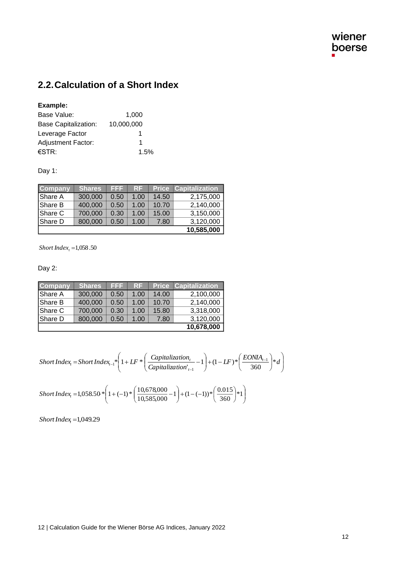## **2.2.Calculation of a Short Index**

#### **Example:**

| Base Value:                 | 1.000      |
|-----------------------------|------------|
| <b>Base Capitalization:</b> | 10.000.000 |
| Leverage Factor             | 1          |
| <b>Adjustment Factor:</b>   | 1          |
| €STR:                       | 1.5%       |

Day 1:

| <b>Company</b> | <b>Shares</b> | EFF  | <b>RF</b> |       | <b>Price Capitalization</b> |
|----------------|---------------|------|-----------|-------|-----------------------------|
| Share A        | 300,000       | 0.50 | 1.00      | 14.50 | 2,175,000                   |
| <b>Share B</b> | 400,000       | 0.50 | 1.00      | 10.70 | 2,140,000                   |
| Share C        | 700,000       | 0.30 | 1.00      | 15.00 | 3,150,000                   |
| Share D        | 800,000       | 0.50 | 1.00      | 7.80  | 3,120,000                   |
|                |               |      |           |       | 10,585,000                  |

*Short Index<sup>t</sup>* <sup>=</sup>1,058.50

Day 2:

| <b>Company</b> | <b>Shares</b> | EFF  | RF   | <b>Price</b> | <b>Capitalization</b> |
|----------------|---------------|------|------|--------------|-----------------------|
| <b>Share A</b> | 300,000       | 0.50 | 1.00 | 14.00        | 2,100,000             |
| Share B        | 400,000       | 0.50 | 1.00 | 10.70        | 2,140,000             |
| Share C        | 700,000       | 0.30 | 1.00 | 15.80        | 3,318,000             |
| Share D        | 800,000       | 0.50 | 1.00 | 7.80         | 3,120,000             |
|                |               |      |      |              | 10,678,000            |

$$
Short Index_{t} = ShortIndex_{t-1}*\left(1 + LF*\left(\frac{Capitalization_{t}}{Capitalization_{t-1}} - 1\right) + (1 - LF)*\left(\frac{EONIA_{t-1}}{360}\right)*d\right)
$$

$$
Short Index_{t} = 1,058.50 * \left(1 + (-1) * \left(\frac{10,678,000}{10,585,000} - 1\right) + (1 - (-1)) * \left(\frac{0.015}{360}\right) * 1\right)
$$

*ShortIndex<sup>t</sup>* <sup>=</sup>1,049.29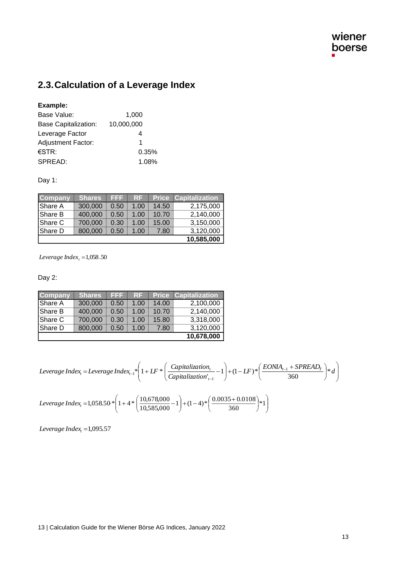## **2.3.Calculation of a Leverage Index**

#### **Example:**

| Base Value:                 | 1,000      |
|-----------------------------|------------|
| <b>Base Capitalization:</b> | 10,000,000 |
| Leverage Factor             |            |
| <b>Adjustment Factor:</b>   | 1          |
| €STR:                       | 0.35%      |
| SPREAD:                     | 1.08%      |

Day 1:

| Company | <b>Shares</b> | EFF  | RF   | <b>Price</b> | <b>Capitalization</b> |
|---------|---------------|------|------|--------------|-----------------------|
| Share A | 300,000       | 0.50 | 1.00 | 14.50        | 2,175,000             |
| Share B | 400,000       | 0.50 | 1.00 | 10.70        | 2,140,000             |
| Share C | 700,000       | 0.30 | 1.00 | 15.00        | 3,150,000             |
| Share D | 800,000       | 0.50 | 1.00 | 7.80         | 3,120,000             |
|         |               |      |      |              | 10,585,000            |

*Leverage Index<sup>t</sup>* <sup>=</sup>1,058.50

Day 2:

| Company | Shares  | EFF  | <b>RF</b> | <b>Price</b> | <b>Capitalization</b> |
|---------|---------|------|-----------|--------------|-----------------------|
| Share A | 300,000 | 0.50 | 1.00      | 14.00        | 2,100,000             |
| Share B | 400,000 | 0.50 | 1.00      | 10.70        | 2,140,000             |
| Share C | 700,000 | 0.30 | 1.00      | 15.80        | 3,318,000             |
| Share D | 800,000 | 0.50 | 1.00      | 7.80         | 3,120,000             |
|         |         |      |           |              | 10,678,000            |

$$
Leverage Index_t = Leverage Index_{t-1}*\left(1 + LF*\left(\frac{Capitalization_t}{Capitalization_{t-1}} - 1\right) + (1 - LF)*\left(\frac{EONIA_{t-1} + SPREAD_T}{360}\right)*d\right)
$$

$$
Leverage Index_{t} = 1,058.50 * \left(1 + 4 * \left(\frac{10,678,000}{10,585,000} - 1\right) + (1 - 4) * \left(\frac{0.0035 + 0.0108}{360}\right) * 1\right)
$$

*Leverage Index<sup>t</sup>* <sup>=</sup>1,095.57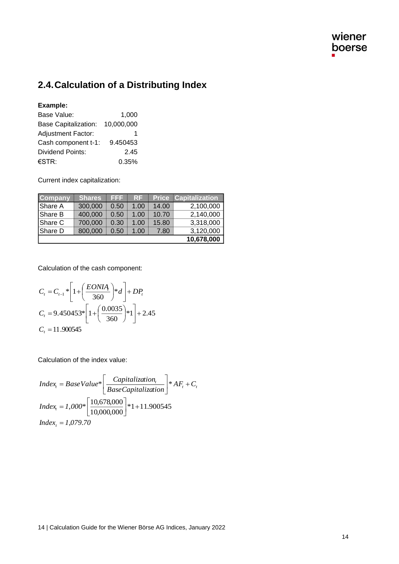## **2.4.Calculation of a Distributing Index**

#### **Example:**

| Base Value:                 | 1,000      |
|-----------------------------|------------|
| <b>Base Capitalization:</b> | 10,000,000 |
| <b>Adjustment Factor:</b>   |            |
| Cash component t-1:         | 9.450453   |
| <b>Dividend Points:</b>     | 2.45       |
| €STR:                       | 0.35%      |

Current index capitalization:

| <b>Company</b> | <b>Shares</b> | EEE. | RF   | <b>Price</b> | <b>Capitalization</b> |
|----------------|---------------|------|------|--------------|-----------------------|
| <b>Share A</b> | 300,000       | 0.50 | 1.00 | 14.00        | 2,100,000             |
| Share B        | 400,000       | 0.50 | 1.00 | 10.70        | 2,140,000             |
| Share C        | 700,000       | 0.30 | 1.00 | 15.80        | 3,318,000             |
| Share D        | 800,000       | 0.50 | 1.00 | 7.80         | 3,120,000             |
|                |               |      |      |              | 10,678,000            |

Calculation of the cash component:

$$
C_{t} = C_{t-1} * \left[ 1 + \left( \frac{EONIA}{360} \right) * d \right] + DP_{t}
$$
  
\n
$$
C_{t} = 9.450453 * \left[ 1 + \left( \frac{0.0035}{360} \right) * 1 \right] + 2.45
$$
  
\n
$$
C_{t} = 11.900545
$$

Calculation of the index value:

 $Index_{t} = BaseValue* \left| \frac{Capitalization_{t}}{BaseCapitalization_{t}} \right| * AF_{t} + C_{t}$ J 1  $\mathbf{r}$ L  $= BaseValue* \left[ \frac{Capitalization_t}{*} \right] *$  $*1 + 11.900545$ 10,000,000  $\left[\frac{10,678,000}{10,000,000}\right]*1+$ 1 L Γ *Index<sup>t</sup>* = *1,000\* Index<sup>t</sup>* = *1,079.70*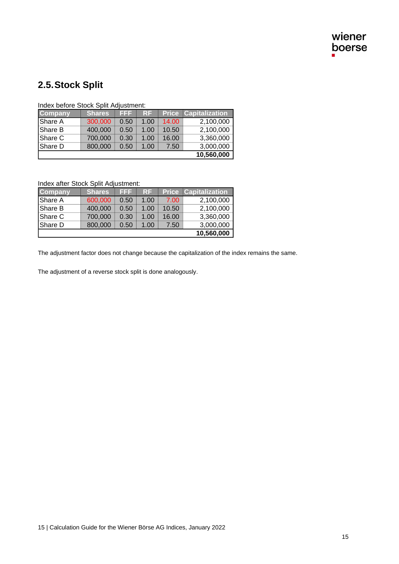# **2.5.Stock Split**

|                |         | EEE  |           |       |                             |
|----------------|---------|------|-----------|-------|-----------------------------|
| <b>Company</b> | Shares  |      | <b>RF</b> |       | <b>Price Capitalization</b> |
| Share A        | 300,000 | 0.50 | 1.00      | 14.00 | 2,100,000                   |
| Share B        | 400,000 | 0.50 | 1.00      | 10.50 | 2,100,000                   |
| Share C        | 700,000 | 0.30 | 1.00      | 16.00 | 3,360,000                   |
| Share D        | 800,000 | 0.50 | 1.00      | 7.50  | 3,000,000                   |
|                |         |      |           |       | 10,560,000                  |

Index before Stock Split Adjustment:

Index after Stock Split Adjustment:

| <b>Company</b> | Shares  | EEE  | <b>RF</b> | <b>Price</b> | <b>Capitalization</b> |
|----------------|---------|------|-----------|--------------|-----------------------|
| <b>Share A</b> | 600,000 | 0.50 | 1.00      | 7.00         | 2,100,000             |
| Share B        | 400,000 | 0.50 | 1.00      | 10.50        | 2,100,000             |
| Share C        | 700,000 | 0.30 | 1.00      | 16.00        | 3,360,000             |
| Share D        | 800,000 | 0.50 | 1.00      | 7.50         | 3,000,000             |
|                |         |      |           |              | 10,560,000            |

The adjustment factor does not change because the capitalization of the index remains the same.

The adjustment of a reverse stock split is done analogously.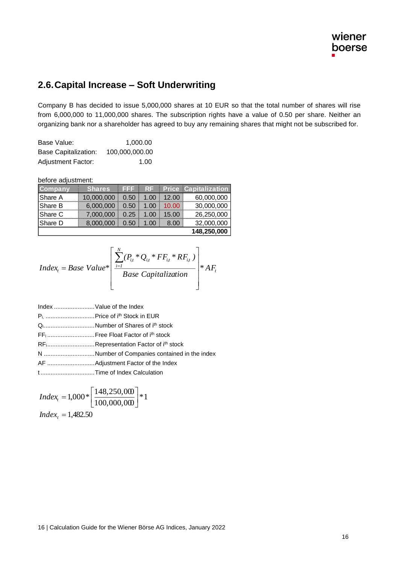#### **2.6.Capital Increase – Soft Underwriting**

Company B has decided to issue 5,000,000 shares at 10 EUR so that the total number of shares will rise from 6,000,000 to 11,000,000 shares. The subscription rights have a value of 0.50 per share. Neither an organizing bank nor a shareholder has agreed to buy any remaining shares that might not be subscribed for.

| Base Value:               | 1.000.00       |
|---------------------------|----------------|
| Base Capitalization:      | 100,000,000.00 |
| <b>Adjustment Factor:</b> | 1.00           |

#### before adjustment:

| <b>Company</b> | <b>Shares</b> | 13 S S | RF   |       | <b>Price Capitalization</b> |
|----------------|---------------|--------|------|-------|-----------------------------|
| Share A        | 10,000,000    | 0.50   | 1.00 | 12.00 | 60,000,000                  |
| Share B        | 6,000,000     | 0.50   | 1.00 | 10.00 | 30,000,000                  |
| Share C        | 7,000,000     | 0.25   | 1.00 | 15.00 | 26,250,000                  |
| Share D        | 8,000,000     | 0.50   | 1.00 | 8.00  | 32,000,000                  |
|                |               |        |      |       | 148,250,000                 |

$$
Index_{t} = Base\ Value^* \left[ \frac{\sum_{i=1}^{N} (P_{i,t} * Q_{i,t} * FF_{i,t} * RF_{i,t})}{Base\ Capitalization} \right] * AF_{t}
$$

Index ........................Value of the Index

- Pi, .............................Price of ith Stock in EUR
- Qi..............................Number of Shares of ith stock
- FF<sup>i</sup> ............................Free Float Factor of ith stock
- RFi............................Representation Factor of ith stock
- N ..............................Number of Companies contained in the index
- AF ............................Adjustment Factor of the Index

t ................................Time of Index Calculation

$$
Index_{t} = 1,000 * \left[\frac{148,250,000}{100,000,000}\right] * 1
$$
  
Index<sub>t</sub> = 1,482.50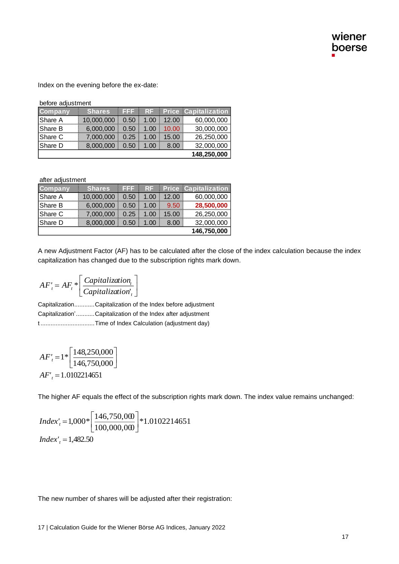Index on the evening before the ex-date:

before adjustment

| <b>Company</b> | <b>Shares</b> | EEE  | RF.  |       | <b>Price Capitalization</b> |
|----------------|---------------|------|------|-------|-----------------------------|
| Share A        | 10,000,000    | 0.50 | 1.00 | 12.00 | 60,000,000                  |
| Share B        | 6.000.000     | 0.50 | 1.00 | 10.00 | 30,000,000                  |
| Share C        | 7,000,000     | 0.25 | 1.00 | 15.00 | 26,250,000                  |
| IShare D       | 8,000,000     | 0.50 | 1.00 | 8.00  | 32,000,000                  |
|                |               |      |      |       | 148,250,000                 |

after adjustment

| <b>Company</b> | <b>Shares</b> | 1212 | RF   |       | <b>Price Capitalization</b> |
|----------------|---------------|------|------|-------|-----------------------------|
| Share A        | 10,000,000    | 0.50 | 1.00 | 12.00 | 60,000,000                  |
| IShare B       | 6,000,000     | 0.50 | 1.00 | 9.50  | 28,500,000                  |
| IShare C       | 7.000.000     | 0.25 | 1.00 | 15.00 | 26,250,000                  |
| IShare D       | 8,000,000     | 0.50 | 1.00 | 8.00  | 32,000,000                  |
|                |               |      |      |       | 146,750,000                 |

A new Adjustment Factor (AF) has to be calculated after the close of the index calculation because the index capitalization has changed due to the subscription rights mark down.

$$
AF'_{t} = AF_{t} * \left[ \frac{Capitalization_{t}}{Capitalization_{t}} \right]
$$

Capitalization............Capitalization of the Index before adjustment Capitalization'...........Capitalization of the Index after adjustment t ................................Time of Index Calculation (adjustment day)

l

$$
AF'_{t} = 1 * \left[ \frac{148,250,000}{146,750,000} \right]
$$
  
AF'\_{t} = 1.0102214651

The higher AF equals the effect of the subscription rights mark down. The index value remains unchanged:

$$
Index'_{t} = 1,000 * \left[ \frac{146,750,000}{100,000,000} \right] * 1.0102214651
$$
  
Index'\_{t} = 1,482.50

The new number of shares will be adjusted after their registration: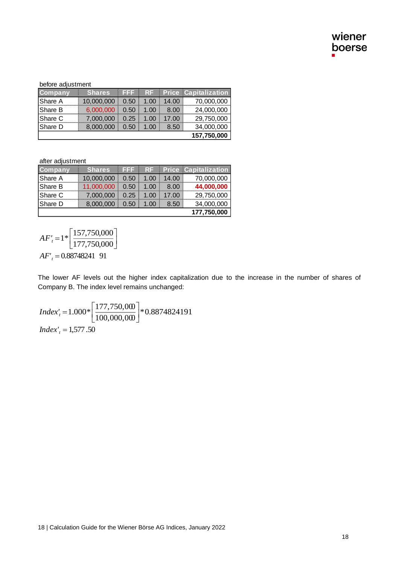#### before adjustment

| <b>Company</b> | <b>Shares</b> | FFF  | <b>RF</b> |       | <b>Price Capitalization</b> |
|----------------|---------------|------|-----------|-------|-----------------------------|
| Share A        | 10,000,000    | 0.50 | 1.00      | 14.00 | 70,000,000                  |
| Share B        | 6,000,000     | 0.50 | 1.00      | 8.00  | 24,000,000                  |
| Share C        | 7.000.000     | 0.25 | 1.00      | 17.00 | 29,750,000                  |
| Share D        | 8,000,000     | 0.50 | 1.00      | 8.50  | 34,000,000                  |
|                |               |      |           |       | 157,750,000                 |

after adjustment

| Company        | <b>Shares</b> | E E E | RF.  |       | <b>Price Capitalization</b> |
|----------------|---------------|-------|------|-------|-----------------------------|
| Share A        | 10,000,000    | 0.50  | 1.00 | 14.00 | 70,000,000                  |
| Share B        | 11,000,000    | 0.50  | 1.00 | 8.00  | 44,000,000                  |
| lShare C       | 7,000,000     | 0.25  | 1.00 | 17.00 | 29,750,000                  |
| <b>Share D</b> | 8,000,000     | 0.50  | 1.00 | 8.50  | 34,000,000                  |
|                |               |       |      |       | 177,750,000                 |

$$
AF'_{t} = 1 * \left[ \frac{157,750,000}{177,750,000} \right]
$$
  
AF'\_{t} = 0.88748241 91

the higher index capitalization due to the increase in the number of share<br>vel remains unchanged:<br> $\frac{50,000}{00,000}\Big]$  \*  $0.8874824191$ <br>a)<br>wiener Börse AG Indices, January 2022<br>a)<br>a) The lower AF levels out the higher index capitalization due to the increase in the number of shares of Company B. The index level remains unchanged:

\*0.8874824191 100,000,000  $1.000*\left[\frac{177,750,000}{100,000,000}\right]$  $\overline{\phantom{a}}$  $\overline{\mathsf{L}}$ *Index'*<sub>*t*</sub></sub> = 1.000\* *Index'<sup>t</sup>* = 1,577.50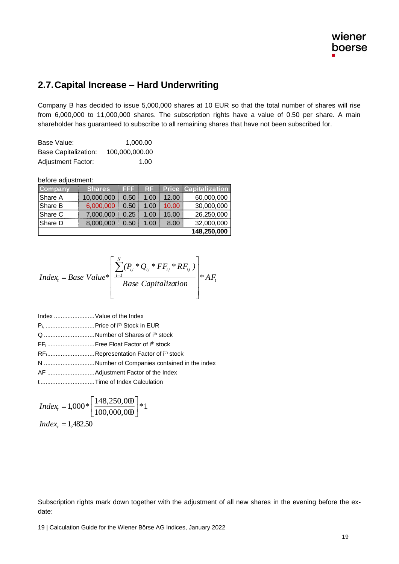#### **2.7.Capital Increase – Hard Underwriting**

Company B has decided to issue 5,000,000 shares at 10 EUR so that the total number of shares will rise from 6,000,000 to 11,000,000 shares. The subscription rights have a value of 0.50 per share. A main shareholder has guaranteed to subscribe to all remaining shares that have not been subscribed for.

| Base Value:                 | 1.000.00       |
|-----------------------------|----------------|
| <b>Base Capitalization:</b> | 100.000.000.00 |
| <b>Adjustment Factor:</b>   | 1.00           |

before adjustment:

| <b>Company</b> | <b>Shares</b> | I de lei | RF.  |       | <b>Price Capitalization</b> |
|----------------|---------------|----------|------|-------|-----------------------------|
| Share A        | 10,000,000    | 0.50     | 1.00 | 12.00 | 60,000,000                  |
| Share B        | 6,000,000     | 0.50     | 1.00 | 10.00 | 30,000,000                  |
| IShare C       | 7,000,000     | 0.25     | 1.00 | 15.00 | 26,250,000                  |
| IShare D       | 8,000,000     | 0.50     | 1.00 | 8.00  | 32,000,000                  |
|                |               |          |      |       | 148,250,000                 |

$$
Index_{t} = Base\ Value^* \left[ \frac{\sum_{i=1}^{N} (P_{i,t} * Q_{i,t} * FF_{i,t} * RF_{i,t})}{Base\ Capitalization} \right] * AF_{t}
$$

- Pi, .............................Price of ith Stock in EUR
- Qi..............................Number of Shares of ith stock
- FF<sub>i</sub>...............................Free Float Factor of i<sup>th</sup> stock

RFi............................Representation Factor of ith stock

- N ..............................Number of Companies contained in the index
- AF ............................Adjustment Factor of the Index
- t ................................Time of Index Calculation

\*1 100,000,000  $1,000*\left[\frac{148,250,000}{100,000,000}\right]$ ן  $\overline{\mathsf{L}}$ Γ  $Index_{t} = 1,000*$  $Index_{t} = 1,482.50$ 

Subscription rights mark down together with the adjustment of all new shares in the evening before the exdate: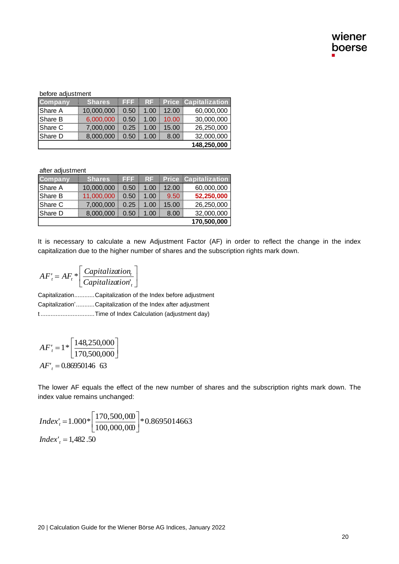before adjustment

| Company | <b>Shares</b> | E E E | RF   |       | <b>Price Capitalization</b> |
|---------|---------------|-------|------|-------|-----------------------------|
| Share A | 10,000,000    | 0.50  | 1.00 | 12.00 | 60,000,000                  |
| Share B | 6,000,000     | 0.50  | 1.00 | 10.00 | 30,000,000                  |
| Share C | 7.000.000     | 0.25  | 1.00 | 15.00 | 26,250,000                  |
| Share D | 8,000,000     | 0.50  | 1.00 | 8.00  | 32,000,000                  |
|         |               |       |      |       | 148,250,000                 |

after adjustment

| <b>Company</b> | <b>Shares</b> | EEE  | RF   |       | <b>Price Capitalization</b> |
|----------------|---------------|------|------|-------|-----------------------------|
| Share A        | 10,000,000    | 0.50 | 1.00 | 12.00 | 60,000,000                  |
| lShare B       | 11,000,000    | 0.50 | 1.00 | 9.50  | 52,250,000                  |
| IShare C       | 7.000.000     | 0.25 | 1.00 | 15.00 | 26,250,000                  |
| Share D        | 8,000,000     | 0.50 | 1.00 | 8.00  | 32,000,000                  |
|                |               |      |      |       | 170,500,000                 |

It is necessary to calculate a new Adjustment Factor (AF) in order to reflect the change in the index capitalization due to the higher number of shares and the subscription rights mark down.

$$
AF'_{t} = AF_{t} * \left[ \frac{Capitalization_{t}}{Capitalization_{t}} \right]
$$

Capitalization............Capitalization of the Index before adjustment Capitalization'...........Capitalization of the Index after adjustment t ................................Time of Index Calculation (adjustment day)

l

 $\overline{\phantom{a}}$  $\overline{\phantom{a}}$  $\overline{\mathsf{L}}$  $=1*$  $AF'_t = 1 * \left| \frac{148,250,000}{170,500,000} \right|$ *AF'<sup>t</sup>* = 0.86950146 63

The lower AF equals the effect of the new number of shares and the subscription rights mark down. The index value remains unchanged:

$$
Index'_{t} = 1.000 * \left[ \frac{170,500,000}{100,000,000} \right] * 0.8695014663
$$
  
Index'\_{t} = 1,482.50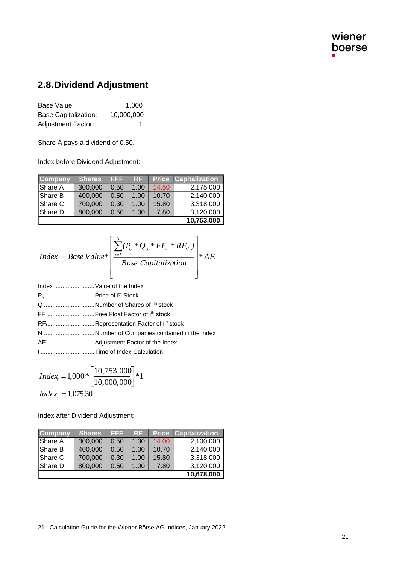### **2.8.Dividend Adjustment**

Base Value: 1,000 Base Capitalization: 10,000,000 Adjustment Factor: 1

Share A pays a dividend of 0.50.

Index before Dividend Adjustment:

| <b>Company</b> | <u>Shares</u> | EEE  | <b>RF</b> | <b>Price</b> | <b>Capitalization</b> |
|----------------|---------------|------|-----------|--------------|-----------------------|
| Share A        | 300,000       | 0.50 | 1.00      | 14.50        | 2,175,000             |
| Share B        | 400,000       | 0.50 | 1.00      | 10.70        | 2,140,000             |
| Share C        | 700,000       | 0.30 | 1.00      | 15.80        | 3,318,000             |
| Share D        | 800,000       | 0.50 | 1.00      | 7.80         | 3,120,000             |
|                |               |      |           |              | 10,753,000            |

$$
Index_{t} = Base Value * \left[ \frac{\sum_{i=1}^{N} (P_{i,t} * Q_{i,t} * FF_{i,t} * RF_{i,t})}{Base Capitalization} \right] * AF_{t}
$$

- Index ........................Value of the Index
- Pi, .............................Price of ith Stock
- Q<sub>i</sub>................................Number of Shares of i<sup>th</sup> stock
- FF<sup>i</sup> ............................Free Float Factor of ith stock
- RF<sub>i</sub>................................Representation Factor of i<sup>th</sup> stock
- N ..............................Number of Companies contained in the index
- AF ............................Adjustment Factor of the Index
- t ................................Time of Index Calculation

$$
Index_{t} = 1,000 * \left[\frac{10,753,000}{10,000,000}\right] * 1
$$

*Index*<sub>t</sub> = 1,075.30

Index after Dividend Adjustment:

| <b>Company</b> | <b>Shares</b> | EFF  | RF   | <b>Price</b> | <b>Capitalization</b> |
|----------------|---------------|------|------|--------------|-----------------------|
| Share A        | 300,000       | 0.50 | 1.00 | 14.00        | 2,100,000             |
| Share B        | 400,000       | 0.50 | 1.00 | 10.70        | 2,140,000             |
| Share C        | 700,000       | 0.30 | 1.00 | 15.80        | 3,318,000             |
| Share D        | 800,000       | 0.50 | 1.00 | 7.80         | 3,120,000             |
|                |               |      |      |              | 10,678,000            |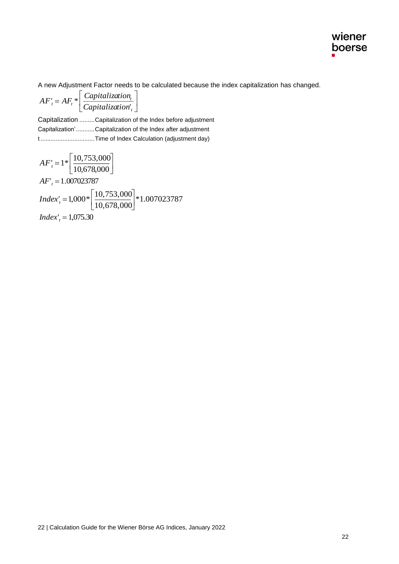

A new Adjustment Factor needs to be calculated because the index capitalization has changed.

 $\rfloor$ 1  $\mathbf{r}$ L  $= AF^*$  $T_t = AF_t * \frac{eqphi}{Capitalization}$  $AF'_{t} = AF_{t} * \frac{Capitalization_{t}}{Capitalization_{t}}$ 

Capitalization .........Capitalization of the Index before adjustment Capitalization'...........Capitalization of the Index after adjustment t ................................Time of Index Calculation (adjustment day)

l

$$
AF'_{t} = 1 * \left[ \frac{10,753,000}{10,678,000} \right]
$$
  
AF'\_{t} = 1.007023787  
*Index*'\_{t} = 1,000 \* \left[ \frac{10,753,000}{10,678,000} \right] \* 1.007023787  
*Index*'\_{t} = 1,075.30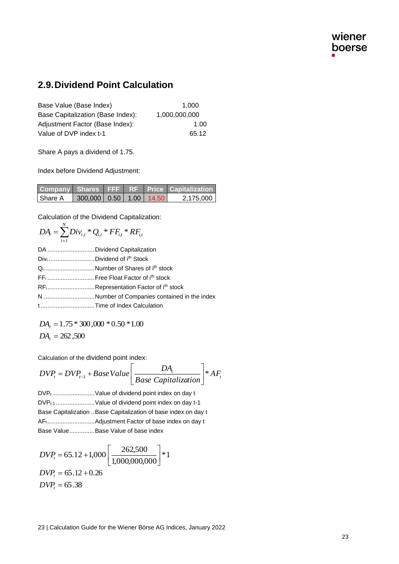### **2.9.Dividend Point Calculation**

| Base Value (Base Index)           | 1.000         |
|-----------------------------------|---------------|
| Base Capitalization (Base Index): | 1.000.000.000 |
| Adjustment Factor (Base Index):   | 1.00          |
| Value of DVP index t-1            | 65.12         |

Share A pays a dividend of 1.75.

Index before Dividend Adjustment:

|         |                               |  | Company Shares FFF RF Price Capitalization |
|---------|-------------------------------|--|--------------------------------------------|
| Share A | 300,000   0.50   1.00   14.50 |  | 2.175.000                                  |

Calculation of the Dividend Capitalization:

$$
DA_{i} = \sum_{i=1}^{N} Div_{i,t} * Q_{i,t} * FF_{i,t} * RF_{i,t}
$$

| DA  Dividend Capitalization                  |
|----------------------------------------------|
| Divi Dividend of ith Stock                   |
| QNumber of Shares of ith stock               |
|                                              |
| RFiRepresentation Factor of ith stock        |
| N Number of Companies contained in the index |
| tTime of Index Calculation                   |
|                                              |

$$
DA_t = 1.75 * 300,000 * 0.50 * 1.00
$$
  
 $DA_t = 262,500$ 

Calculation of the dividend point index:

$$
DVP_t = DVP_{t-1} + BaseValue \bigg[\frac{DA_t}{Base Capitalization}\bigg]*AF_t
$$

DVP<sub>t</sub>............................Value of dividend point index on day t DVP<sub>t-1</sub>........................Value of dividend point index on day t-1 Base Capitalization ..Base Capitalization of base index on day t AFt............................Adjustment Factor of base index on day t Base Value...............Base Value of base index

$$
DVP_t = 65.12 + 1,000 \left[ \frac{262,500}{1,000,000,000} \right] * 1
$$
  
\n
$$
DVP_t = 65.12 + 0.26
$$
  
\n
$$
DVP_t = 65.38
$$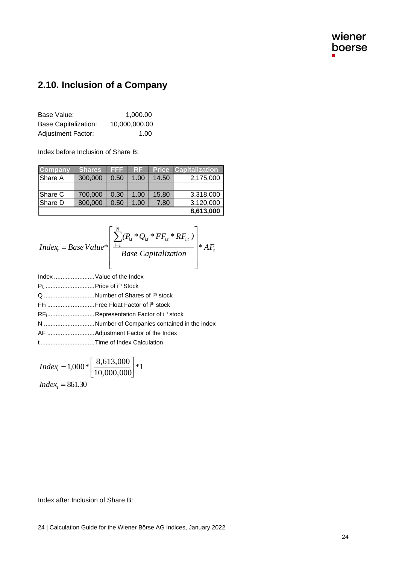# **2.10. Inclusion of a Company**

| Base Value:               | 1.000.00      |
|---------------------------|---------------|
| Base Capitalization:      | 10,000,000.00 |
| <b>Adjustment Factor:</b> | 1.00          |

Index before Inclusion of Share B:

| <b>Company</b> | <b>Shares</b> | 1222 | RF   | <b>Price</b> | <b>Capitalization</b> |
|----------------|---------------|------|------|--------------|-----------------------|
| Share A        | 300,000       | 0.50 | 1.00 | 14.50        | 2,175,000             |
|                |               |      |      |              |                       |
| Share C        | 700,000       | 0.30 | 1.00 | 15.80        | 3,318,000             |
| Share D        | 800,000       | 0.50 | 1.00 | 7.80         | 3,120,000             |
|                |               |      |      |              | 8,613,000             |

$$
Index_{t} = BaseValue* \left[ \frac{\sum_{i=1}^{N} (P_{it} * Q_{it} * FF_{it} * RF_{it})}{Base Capitalization} \right] * AF_{t}
$$

| Index  Value of the Index                      |                                                            |
|------------------------------------------------|------------------------------------------------------------|
| P <sub>i,</sub> Price of i <sup>th</sup> Stock |                                                            |
|                                                | QNumber of Shares of ith stock                             |
|                                                | FF <sub>i</sub> Free Float Factor of i <sup>th</sup> stock |
|                                                | RFiRepresentation Factor of ith stock                      |
|                                                | N Number of Companies contained in the index               |
|                                                |                                                            |
|                                                | tTime of Index Calculation                                 |
|                                                |                                                            |

$$
Index_{i} = 1,000 * \left[ \frac{8,613,000}{10,000,000} \right] * 1
$$

*Index*<sub>t</sub> = 861.30

Index after Inclusion of Share B: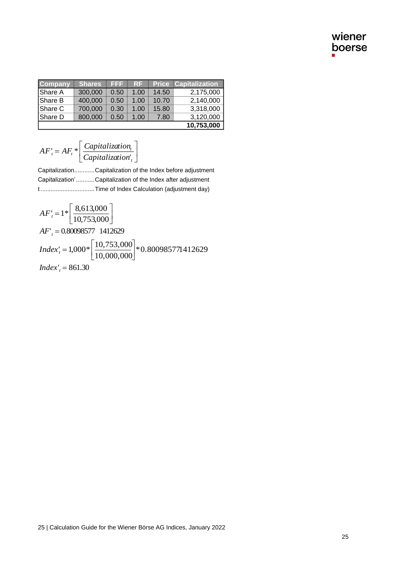| <b>Company</b> | <b>Shares</b> | EFF  | <b>RF</b> | <b>Price</b> | <b>Capitalization</b> |
|----------------|---------------|------|-----------|--------------|-----------------------|
| Share A        | 300,000       | 0.50 | 1.00      | 14.50        | 2,175,000             |
| Share B        | 400,000       | 0.50 | 1.00      | 10.70        | 2,140,000             |
| Share C        | 700,000       | 0.30 | 1.00      | 15.80        | 3,318,000             |
| Share D        | 800,000       | 0.50 | 1.00      | 7.80         | 3,120,000             |
|                |               |      |           |              | 10,753,000            |

$$
AF'_{t} = AF_{t} * \left[ \frac{Capitalization_{t}}{Capitalization_{t}} \right]
$$

Capitalization............Capitalization of the Index before adjustment Capitalization'...........Capitalization of the Index after adjustment t ................................Time of Index Calculation (adjustment day)

$$
AF'_{i} = AF_{i} * \left[ \frac{exp_{i} + \frac{1}{2} + \frac{1}{2} + \frac{1}{2} + \frac{1}{2} + \frac{1}{2} + \frac{1}{2} + \frac{1}{2} + \frac{1}{2} + \frac{1}{2} + \frac{1}{2} + \frac{1}{2} + \frac{1}{2} + \frac{1}{2} + \frac{1}{2} + \frac{1}{2} + \frac{1}{2} + \frac{1}{2} + \frac{1}{2} + \frac{1}{2} + \frac{1}{2} + \frac{1}{2} + \frac{1}{2} + \frac{1}{2} + \frac{1}{2} + \frac{1}{2} + \frac{1}{2} + \frac{1}{2} + \frac{1}{2} + \frac{1}{2} + \frac{1}{2} + \frac{1}{2} + \frac{1}{2} + \frac{1}{2} + \frac{1}{2} + \frac{1}{2} + \frac{1}{2} + \frac{1}{2} + \frac{1}{2} + \frac{1}{2} + \frac{1}{2} + \frac{1}{2} + \frac{1}{2} + \frac{1}{2} + \frac{1}{2} + \frac{1}{2} + \frac{1}{2} + \frac{1}{2} + \frac{1}{2} + \frac{1}{2} + \frac{1}{2} + \frac{1}{2} + \frac{1}{2} + \frac{1}{2} + \frac{1}{2} + \frac{1}{2} + \frac{1}{2} + \frac{1}{2} + \frac{1}{2} + \frac{1}{2} + \frac{1}{2} + \frac{1}{2} + \frac{1}{2} + \frac{1}{2} + \frac{1}{2} + \frac{1}{2} + \frac{1}{2} + \frac{1}{2} + \frac{1}{2} + \frac{1}{2} + \frac{1}{2} + \frac{1}{2} + \frac{1}{2} + \frac{1}{2} + \frac{1}{2} + \frac{1}{2} + \frac{1}{2} + \frac{1}{2} + \frac{1}{2} + \frac{1}{2} + \frac{1}{2} + \frac{1}{2} + \frac{1}{2} + \frac{1}{2} + \frac{1}{2} + \frac{1}{2} + \frac{1}{2} + \frac{1}{2} + \frac{1}{2} + \frac{1}{2} + \frac{1}{2} + \frac{1}{2} + \frac{1}{2} + \
$$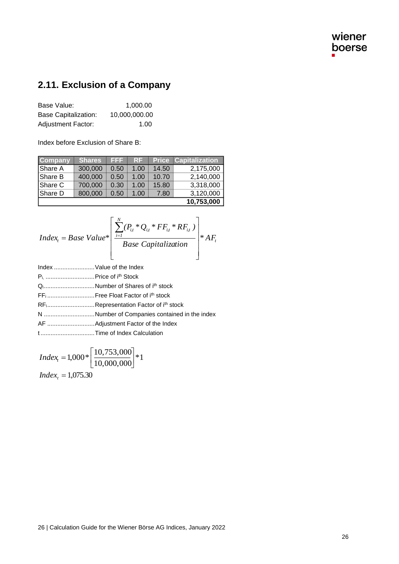# **2.11. Exclusion of a Company**

| Base Value:               | 1.000.00      |
|---------------------------|---------------|
| Base Capitalization:      | 10,000,000.00 |
| <b>Adjustment Factor:</b> | 1.00          |

Index before Exclusion of Share B:

| <b>Company</b> | Shares  | EFF  | <b>RF</b> | <b>Price</b> | <b>Capitalization</b> |
|----------------|---------|------|-----------|--------------|-----------------------|
| Share A        | 300,000 | 0.50 | 1.00      | 14.50        | 2,175,000             |
| Share B        | 400,000 | 0.50 | 1.00      | 10.70        | 2,140,000             |
| Share C        | 700,000 | 0.30 | 1.00      | 15.80        | 3,318,000             |
| Share D        | 800,000 | 0.50 | 1.00      | 7.80         | 3,120,000             |
|                |         |      |           |              | 10,753,000            |

$$
Index_{t} = Base Value * \left[ \frac{\sum_{i=1}^{N} (P_{i,t} * Q_{i,t} * FF_{i,t} * RF_{i,t})}{Base Capitalization} \right] * AF_{t}
$$
  
Index ................. Value of the Index

|                                                                                                                                                                                                                                   | QNumber of Shares of i <sup>th</sup> stock                     |
|-----------------------------------------------------------------------------------------------------------------------------------------------------------------------------------------------------------------------------------|----------------------------------------------------------------|
|                                                                                                                                                                                                                                   |                                                                |
|                                                                                                                                                                                                                                   | RF <sub>i</sub> Representation Factor of i <sup>th</sup> stock |
|                                                                                                                                                                                                                                   | N Number of Companies contained in the index                   |
|                                                                                                                                                                                                                                   |                                                                |
| $\mathbf{r}$ . The contract of the contract of the contract of the contract of the contract of the contract of the contract of the contract of the contract of the contract of the contract of the contract of the contract of th |                                                                |

t ................................Time of Index Calculation

$$
Index_{t} = 1,000 * \left[ \frac{10,753,000}{10,000,000} \right] * 1
$$
  
Index<sub>t</sub> = 1,075.30

26 | Calculation Guide for the Wiener Börse AG Indices, January 2022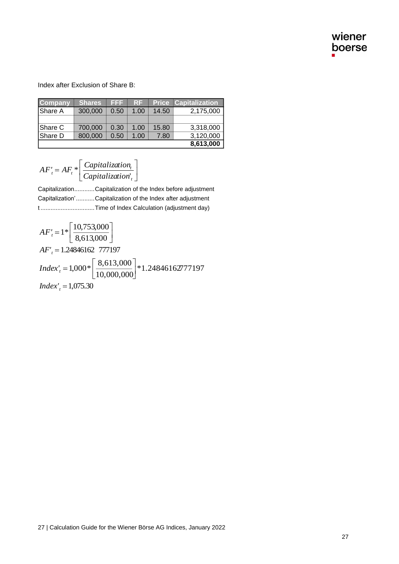Index after Exclusion of Share B:

| <b>Company</b> | <b>Shares</b> | 1222 | RF   |       | <b>Price Capitalization</b> |
|----------------|---------------|------|------|-------|-----------------------------|
| Share A        | 300,000       | 0.50 | 1.00 | 14.50 | 2,175,000                   |
|                |               |      |      |       |                             |
| Share C        | 700,000       | 0.30 | 1.00 | 15.80 | 3,318,000                   |
| Share D        | 800,000       | 0.50 | 1.00 | 7.80  | 3,120,000                   |
|                |               |      |      |       | 8,613,000                   |

l

$$
AF'_{t} = AF_{t} * \left[ \frac{Capitalization_{t}}{Capitalization_{t}} \right]
$$

Capitalization............Capitalization of the Index before adjustment Capitalization'...........Capitalization of the Index after adjustment t ................................Time of Index Calculation (adjustment day)

$$
AF'_{t} = 1 * \left[ \frac{10,753,000}{8,613,000} \right]
$$
  
AF'\_{t} = 1.24846162 777197  
*Index*'\_{t} = 1,000 \* \left[ \frac{8,613,000}{10,000,000} \right] \* 1.24846162777197  
*Index*'\_{t} = 1,075.30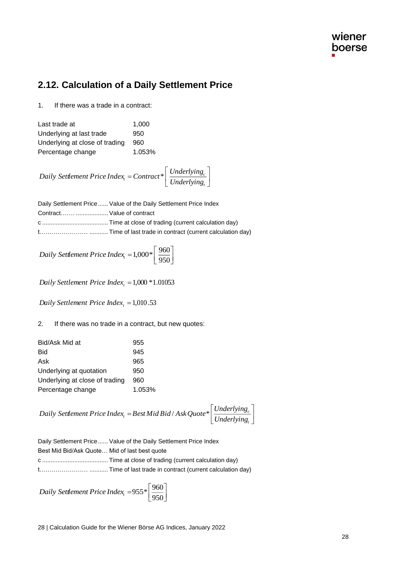### **2.12. Calculation of a Daily Settlement Price**

1. If there was a trade in a contract:

| Last trade at                  | 1,000  |
|--------------------------------|--------|
| Underlying at last trade       | 950    |
| Underlying at close of trading | 960    |
| Percentage change              | 1.053% |

I J 1 L L  $=$  *Contract*\* $\left[\frac{Underlying}{Underlying} \right]$  $c_t =$  *Contract*<sup>\*</sup>  $\frac{1}{\text{Underlying}_t}$ *Underlying Daily Settlement Price Index Contract\**

|                             | Daily Settlement Price Value of the Daily Settlement Price Index |
|-----------------------------|------------------------------------------------------------------|
| Contract  Value of contract |                                                                  |
|                             |                                                                  |
|                             |                                                                  |

İ J 1 L  $Daily$  *Settlement Price Index*<sub>*t*</sub> = 1,000\*  $\left\lceil \frac{960}{950} \right\rceil$ 

*Daily Settlement Price Index<sup>t</sup>* <sup>=</sup>1,000 *\**1.01053

*Daily Settlement Price Index<sup>t</sup>* <sup>=</sup>1,010.53

2. If there was no trade in a contract, but new quotes:

| Bid/Ask Mid at                 | 955    |
|--------------------------------|--------|
| Bid                            | 945    |
| Ask                            | 965    |
| Underlying at quotation        | 950    |
| Underlying at close of trading | 960    |
| Percentage change              | 1.053% |

 $\overline{\phantom{a}}$  $\overline{\phantom{a}}$  $\overline{\phantom{a}}$  $\mathsf{I}$ L  $=$  Best Mid Bid / Ask Quote  $*$ *t*  $\mathcal{F}_t = BestMidBid / AskQuote* \left| \frac{Unuentlying_t}{Underlying_t} \right|$ *Underlying Daily Settlement Price Index Best Mid Bid* / *AskQuote\**

|                                               | Daily Settlement Price Value of the Daily Settlement Price Index |
|-----------------------------------------------|------------------------------------------------------------------|
| Best Mid Bid/Ask Quote Mid of last best quote |                                                                  |
|                                               |                                                                  |
|                                               |                                                                  |

I J 1 L *Daily Settlement Price Index<sub>t</sub>* =955\*  $\left\lceil \frac{960}{950} \right\rceil$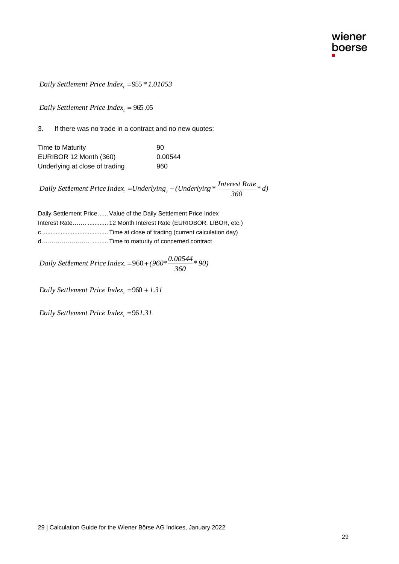Daily Settlement Price Index, =955 \* 1.01053

| Time to Maturity               | 90      |
|--------------------------------|---------|
| EURIBOR 12 Month (360)         | 0.00544 |
| Underlying at close of trading | 960     |

| Daily Settlement Price Index, $= 955 * 1.01053$                                     |                                                                                                       |    |
|-------------------------------------------------------------------------------------|-------------------------------------------------------------------------------------------------------|----|
| Daily Settlement Price Index, = $965.05$                                            |                                                                                                       |    |
| 3.<br>If there was no trade in a contract and no new quotes:                        |                                                                                                       |    |
| Time to Maturity                                                                    | 90                                                                                                    |    |
| EURIBOR 12 Month (360)                                                              | 0.00544                                                                                               |    |
| Underlying at close of trading                                                      | 960                                                                                                   |    |
|                                                                                     | Daily Settlement Price Index, =Underlying <sub>c</sub> + (Underlying $*\frac{Interest Rate}{360}*d$ ) |    |
| Daily Settlement Price  Value of the Daily Settlement Price Index                   |                                                                                                       |    |
| Interest Rate  12 Month Interest Rate (EURIOBOR, LIBOR, etc.)                       |                                                                                                       |    |
|                                                                                     |                                                                                                       |    |
| d  Time to maturity of concerned contract                                           |                                                                                                       |    |
| Daily Settlement Price Index <sub>t</sub> = 960 + (960* $\frac{0.00544}{360}$ * 90) |                                                                                                       |    |
| Daily Settlement Price Index, =960 + 1.31                                           |                                                                                                       |    |
| Daily Settlement Price Index, =961.31                                               |                                                                                                       |    |
|                                                                                     |                                                                                                       |    |
|                                                                                     |                                                                                                       |    |
|                                                                                     |                                                                                                       |    |
|                                                                                     |                                                                                                       |    |
|                                                                                     |                                                                                                       |    |
|                                                                                     |                                                                                                       |    |
|                                                                                     |                                                                                                       |    |
|                                                                                     |                                                                                                       |    |
|                                                                                     |                                                                                                       |    |
|                                                                                     |                                                                                                       |    |
|                                                                                     |                                                                                                       |    |
|                                                                                     |                                                                                                       |    |
| 29   Calculation Guide for the Wiener Börse AG Indices, January 2022                |                                                                                                       |    |
|                                                                                     |                                                                                                       | 29 |